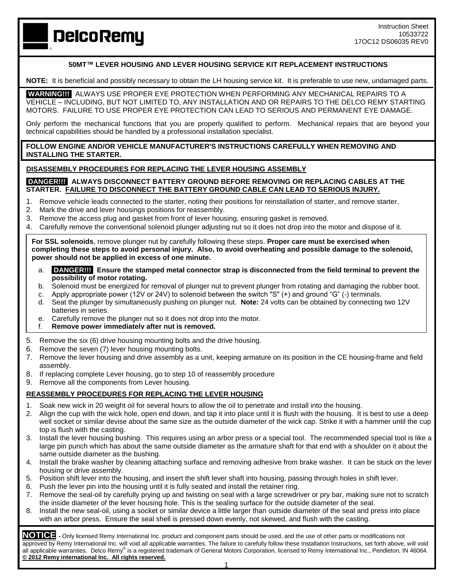**DelcoRemy** 

## **50MT™ LEVER HOUSING AND LEVER HOUSING SERVICE KIT REPLACEMENT INSTRUCTIONS**

**NOTE:** It is beneficial and possibly necessary to obtain the LH housing service kit. It is preferable to use new, undamaged parts. 

**WARNING!!!** ALWAYS USE PROPER EYE PROTECTION WHEN PERFORMING ANY MECHANICAL REPAIRS TO A VEHICLE – INCLUDING, BUT NOT LIMITED TO, ANY INSTALLATION AND OR REPAIRS TO THE DELCO REMY STARTING MOTORS. FAILURE TO USE PROPER EYE PROTECTION CAN LEAD TO SERIOUS AND PERMANENT EYE DAMAGE.

Only perform the mechanical functions that you are properly qualified to perform. Mechanical repairs that are beyond your technical capabilities should be handled by a professional installation specialist.

**FOLLOW ENGINE AND/OR VEHICLE MANUFACTURER'S INSTRUCTIONS CAREFULLY WHEN REMOVING AND INSTALLING THE STARTER.**

### **DISASSEMBLY PROCEDURES FOR REPLACING THE LEVER HOUSING ASSEMBLY**

### **DANGER!!! ALWAYS DISCONNECT BATTERY GROUND BEFORE REMOVING OR REPLACING CABLES AT THE STARTER. FAILURE TO DISCONNECT THE BATTERY GROUND CABLE CAN LEAD TO SERIOUS INJURY.**

- 1. Remove vehicle leads connected to the starter, noting their positions for reinstallation of starter, and remove starter.
- 2. Mark the drive and lever housings positions for reassembly.
- 3. Remove the access plug and gasket from front of lever housing, ensuring gasket is removed.
- 4. Carefully remove the conventional solenoid plunger adjusting nut so it does not drop into the motor and dispose of it.

**For SSL solenoids**, remove plunger nut by carefully following these steps. **Proper care must be exercised when completing these steps to avoid personal injury. Also, to avoid overheating and possible damage to the solenoid, power should not be applied in excess of one minute.**

- a. **DANGER!!! Ensure the stamped metal connector strap is disconnected from the field terminal to prevent the possibility of motor rotating.**
- b. Solenoid must be energized for removal of plunger nut to prevent plunger from rotating and damaging the rubber boot.
- c. Apply appropriate power (12V or 24V) to solenoid between the switch "S" (+) and ground "G" (-) terminals.
- d. Seat the plunger by simultaneously pushing on plunger nut. **Note:** 24 volts can be obtained by connecting two 12V batteries in series.
- e. Carefully remove the plunger nut so it does not drop into the motor.
- f. **Remove power immediately after nut is removed.**
- 5. Remove the six (6) drive housing mounting bolts and the drive housing.
- 6. Remove the seven (7) lever housing mounting bolts.
- 7. Remove the lever housing and drive assembly as a unit, keeping armature on its position in the CE housing-frame and field assembly.
- 8. If replacing complete Lever housing, go to step 10 of reassembly procedure
- 9. Remove all the components from Lever housing.

## **REASSEMBLY PROCEDURES FOR REPLACING THE LEVER HOUSING**

- 1. Soak new wick in 20 weight oil for several hours to allow the oil to penetrate and install into the housing.
- 2. Align the cup with the wick hole, open end down, and tap it into place until it is flush with the housing. It is best to use a deep well socket or similar devise about the same size as the outside diameter of the wick cap. Strike it with a hammer until the cup top is flush with the casting.
- 3. Install the lever housing bushing. This requires using an arbor press or a special tool. The recommended special tool is like a large pin punch which has about the same outside diameter as the armature shaft for that end with a shoulder on it about the same outside diameter as the bushing.
- 4. Install the brake washer by cleaning attaching surface and removing adhesive from brake washer. It can be stuck on the lever housing or drive assembly.
- 5. Position shift lever into the housing, and insert the shift lever shaft into housing, passing through holes in shift lever.
- 6. Push the lever pin into the housing until it is fully seated and install the retainer ring.
- 7. Remove the seal-oil by carefully prying up and twisting on seal with a large screwdriver or pry bar, making sure not to scratch the inside diameter of the lever housing hole. This is the sealing surface for the outside diameter of the seal.
- 8. Install the new seal-oil, using a socket or similar device a little larger than outside diameter of the seal and press into place with an arbor press. Ensure the seal shell is pressed down evenly, not skewed, and flush with the casting.

**NOTICE -** Only licensed Remy International Inc. product and component parts should be used, and the use of other parts or modifications not approved by Remy International Inc. will void all applicable warranties. The failure to carefully follow these Installation Instructions, set forth above, will void all applicable warranties. Delco Remy® is a registered trademark of General Motors Corporation, licensed to Remy International Inc., Pendleton, IN 46064. **© 2012 Remy international Inc. All rights reserved.**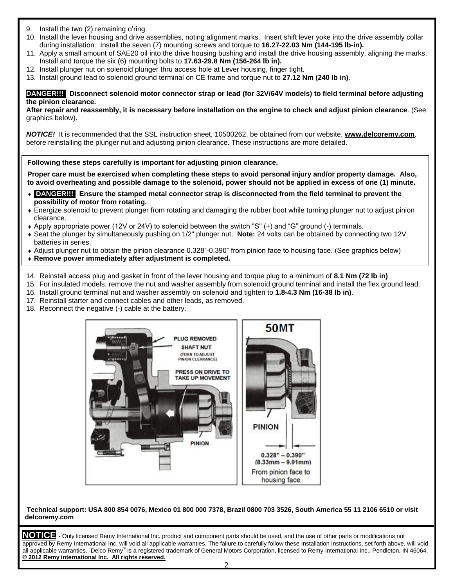- Install the two (2) remaining o'ring.
- 10. Install the lever housing and drive assemblies, noting alignment marks. Insert shift lever yoke into the drive assembly collar during installation. Install the seven (7) mounting screws and torque to **16.27-22.03 Nm (144-195 lb-in).**
- 11. Apply a small amount of SAE20 oil into the drive housing bushing and install the drive housing assembly, aligning the marks. Install and torque the six (6) mounting bolts to **17.63-29.8 Nm (156-264 lb in).**
- 12. Install plunger nut on solenoid plunger thru access hole at Lever housing, finger tight.
- 13. Install ground lead to solenoid ground terminal on CE frame and torque nut to **27.12 Nm (240 lb in)**.

**DANGER!!! Disconnect solenoid motor connector strap or lead (for 32V/64V models) to field terminal before adjusting the pinion clearance.**

**After repair and reassembly, it is necessary before installation on the engine to check and adjust pinion clearance**. (See graphics below).

*NOTICE!* It is recommended that the SSL instruction sheet, 10500262, be obtained from our website, **[www.delcoremy.com](http://www.delcoremy.com/)**, before reinstalling the plunger nut and adjusting pinion clearance. These instructions are more detailed.

## **Following these steps carefully is important for adjusting pinion clearance.**

**Proper care must be exercised when completing these steps to avoid personal injury and/or property damage. Also, to avoid overheating and possible damage to the solenoid, power should not be applied in excess of one (1) minute.**

- **DANGER!!! Ensure the stamped metal connector strap is disconnected from the field terminal to prevent the possibility of motor from rotating.**
- Energize solenoid to prevent plunger from rotating and damaging the rubber boot while turning plunger nut to adjust pinion clearance.
- Apply appropriate power (12V or 24V) to solenoid between the switch "S" (+) and "G" ground (-) terminals.
- Seat the plunger by simultaneously pushing on 1/2" plunger nut. **Note:** 24 volts can be obtained by connecting two 12V batteries in series.
- Adjust plunger nut to obtain the pinion clearance 0.328"-0.390" from pinion face to housing face. (See graphics below)
- **Remove power immediately after adjustment is completed.**
- 14. Reinstall access plug and gasket in front of the lever housing and torque plug to a minimum of **8.1 Nm (72 lb in)**
- 15. For insulated models, remove the nut and washer assembly from solenoid ground terminal and install the flex ground lead.
- 16. Install ground terminal nut and washer assembly on solenoid and tighten to **1.8-4.3 Nm (16-38 lb in)**.
- 17. Reinstall starter and connect cables and other leads, as removed.
- 18. Reconnect the negative (-) cable at the battery.



### **Technical support: USA 800 854 0076, Mexico 01 800 000 7378, Brazil 0800 703 3526, South America 55 11 2106 6510 or visit delcoremy.com**

**NOTICE -** Only licensed Remy International Inc. product and component parts should be used, and the use of other parts or modifications not approved by Remy International Inc. will void all applicable warranties. The failure to carefully follow these Installation Instructions, set forth above, will void all applicable warranties. Delco Remy® is a registered trademark of General Motors Corporation, licensed to Remy International Inc., Pendleton, IN 46064. **© 2012 Remy international Inc. All rights reserved.**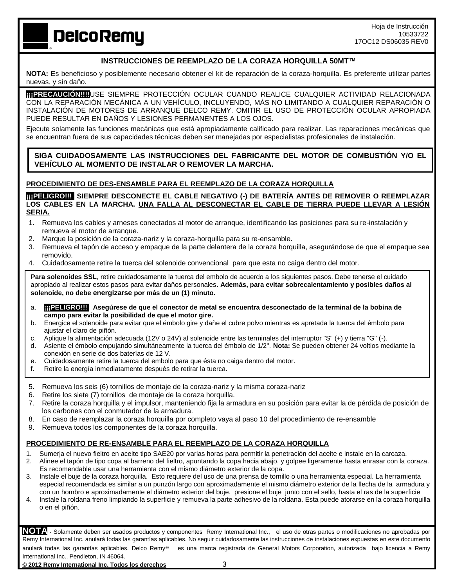**DelcoRemy** 

# **INSTRUCCIONES DE REEMPLAZO DE LA CORAZA HORQUILLA 50MT™**

**NOTA:** Es beneficioso y posiblemente necesario obtener el kit de reparación de la coraza-horquilla. Es preferente utilizar partes nuevas, y sin daño.

**¡¡¡PRECAUCIÓN!!!!**USE SIEMPRE PROTECCIÓN OCULAR CUANDO REALICE CUALQUIER ACTIVIDAD RELACIONADA CON LA REPARACIÓN MECÁNICA A UN VEHÍCULO, INCLUYENDO, MÁS NO LIMITANDO A CUALQUIER REPARACIÓN O INSTALACIÓN DE MOTORES DE ARRANQUE DELCO REMY. OMITIR EL USO DE PROTECCIÓN OCULAR APROPIADA PUEDE RESULTAR EN DAÑOS Y LESIONES PERMANENTES A LOS OJOS.

Ejecute solamente las funciones mecánicas que está apropiadamente calificado para realizar. Las reparaciones mecánicas que se encuentran fuera de sus capacidades técnicas deben ser manejadas por especialistas profesionales de instalación.

**SIGA CUIDADOSAMENTE LAS INSTRUCCIONES DEL FABRICANTE DEL MOTOR DE COMBUSTIÓN Y/O EL VEHÍCULO AL MOMENTO DE INSTALAR O REMOVER LA MARCHA.**

### **PROCEDIMIENTO DE DES-ENSAMBLE PARA EL REEMPLAZO DE LA CORAZA HORQUILLA**

**[11] TELIGRO!!!** SIEMPRE DESCONECTE EL CABLE NEGATIVO (-) DE BATERÍA ANTES DE REMOVER O REEMPLAZAR **LOS CABLES EN LA MARCHA. UNA FALLA AL DESCONECTAR EL CABLE DE TIERRA PUEDE LLEVAR A LESIÓN SERIA.**

- 1. Remueva los cables y arneses conectados al motor de arranque, identificando las posiciones para su re-instalación y remueva el motor de arranque.
- 2. Marque la posición de la coraza-nariz y la coraza-horquilla para su re-ensamble.
- 3. Remueva el tapón de acceso y empaque de la parte delantera de la coraza horquilla, asegurándose de que el empaque sea removido.
- 4. Cuidadosamente retire la tuerca del solenoide convencional para que esta no caiga dentro del motor.

Para solenoides SSL, retire cuidadosamente la tuerca del embolo de acuerdo a los siguientes pasos. Debe tenerse el cuidado apropiado al realizar estos pasos para evitar daños personales**. Además, para evitar sobrecalentamiento y posibles daños al solenoide, no debe energizarse por más de un (1) minuto.**

- a. **¡¡¡PELIGRO!!! Asegúrese de que el conector de metal se encuentra desconectado de la terminal de la bobina de campo para evitar la posibilidad de que el motor gire.**
- b. Energice el solenoide para evitar que el émbolo gire y dañe el cubre polvo mientras es apretada la tuerca del émbolo para ajustar el claro de piñón.
- c. Aplique la alimentación adecuada (12V o 24V) al solenoide entre las terminales del interruptor "S" (+) y tierra "G" (-).
- d. Asiente el émbolo empujando simultáneamente la tuerca del émbolo de 1/2". **Nota:** Se pueden obtener 24 voltios mediante la conexión en serie de dos baterías de 12 V.
- e. Cuidadosamente retire la tuerca del embolo para que ésta no caiga dentro del motor.
- f. Retire la energía inmediatamente después de retirar la tuerca.
- 5. Remueva los seis (6) tornillos de montaje de la coraza-nariz y la misma coraza-nariz
- 6. Retire los siete (7) tornillos de montaje de la coraza horquilla.
- 7. Retire la coraza horquilla y el impulsor, manteniendo fija la armadura en su posición para evitar la de pérdida de posición de los carbones con el conmutador de la armadura.
- 8. En caso de reemplazar la coraza horquilla por completo vaya al paso 10 del procedimiento de re-ensamble
- 9. Remueva todos los componentes de la coraza horquilla.

# **PROCEDIMIENTO DE RE-ENSAMBLE PARA EL REEMPLAZO DE LA CORAZA HORQUILLA**

- 1. Sumerja el nuevo fieltro en aceite tipo SAE20 por varias horas para permitir la penetración del aceite e instale en la carcaza.
- 2. Alinee el tapón de tipo copa al barreno del fieltro, apuntando la copa hacia abajo, y golpee ligeramente hasta enrasar con la coraza. Es recomendable usar una herramienta con el mismo diámetro exterior de la copa.
- 3. Instale el buje de la coraza horquilla. Esto requiere del uso de una prensa de tornillo o una herramienta especial. La herramienta especial recomendada es similar a un punzón largo con aproximadamente el mismo diámetro exterior de la flecha de la armadura y con un hombro e aproximadamente el diámetro exterior del buje, presione el buje junto con el sello, hasta el ras de la superficie
- 4. Instale la roldana freno limpiando la superficie y remueva la parte adhesivo de la roldana. Esta puede atorarse en la coraza horquilla o en el piñón.

**NOTA -** Solamente deben ser usados productos y componentes Remy International Inc., el uso de otras partes o modificaciones no aprobadas por Remy International Inc. anulará todas las garantías aplicables. No seguir cuidadosamente las instrucciones de instalaciones expuestas en este documento anulará todas las garantías aplicables. Delco Remv<sup>®</sup> es una marca registrada de General Motors Corporation, autorizada bajo licencia a Remy International Inc., Pendleton, IN 46064.

**© 2012 Remy International Inc. Todos los derechos** 3